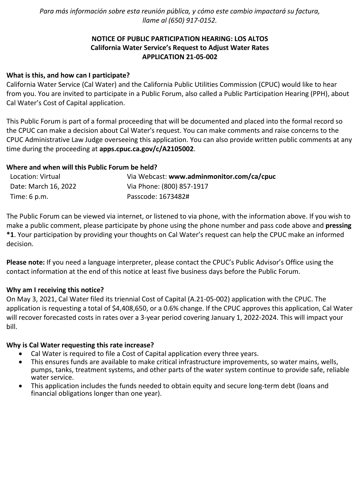*Para más información sobre esta reunión pública, y cómo este cambio impactará su factura, llame al (650) 917-0152.*

# **NOTICE OF PUBLIC PARTICIPATION HEARING: LOS ALTOS California Water Service's Request to Adjust Water Rates APPLICATION 21-05-002**

### **What is this, and how can I participate?**

California Water Service (Cal Water) and the California Public Utilities Commission (CPUC) would like to hear from you. You are invited to participate in a Public Forum, also called a Public Participation Hearing (PPH), about Cal Water's Cost of Capital application.

This Public Forum is part of a formal proceeding that will be documented and placed into the formal record so the CPUC can make a decision about Cal Water's request. You can make comments and raise concerns to the CPUC Administrative Law Judge overseeing this application. You can also provide written public comments at any time during the proceeding at **[apps.cpuc.ca.gov/c/A2105002](https://apps.cpuc.ca.gov/apex/f?p=401:65:0::NO:RP,57,RIR:P5_PROCEEDING_SELECT:A2105002)**.

### **Where and when will this Public Forum be held?**

| Location: Virtual    | Via Webcast: www.adminmonitor.com/ca/cpuc |
|----------------------|-------------------------------------------|
| Date: March 16, 2022 | Via Phone: (800) 857-1917                 |
| Time: 6 p.m.         | Passcode: 1673482#                        |

The Public Forum can be viewed via internet, or listened to via phone, with the information above. If you wish to make a public comment, please participate by phone using the phone number and pass code above and **pressing \*1**. Your participation by providing your thoughts on Cal Water's request can help the CPUC make an informed decision.

**Please note:** If you need a language interpreter, please contact the CPUC's Public Advisor's Office using the contact information at the end of this notice at least five business days before the Public Forum.

#### **Why am I receiving this notice?**

On May 3, 2021, Cal Water filed its triennial Cost of Capital (A.21-05-002) application with the CPUC. The application is requesting a total of \$4,408,650, or a 0.6% change. If the CPUC approves this application, Cal Water will recover forecasted costs in rates over a 3-year period covering January 1, 2022-2024. This will impact your bill.

#### **Why is Cal Water requesting this rate increase?**

- Cal Water is required to file a Cost of Capital application every three years.
- This ensures funds are available to make critical infrastructure improvements, so water mains, wells, pumps, tanks, treatment systems, and other parts of the water system continue to provide safe, reliable water service.
- This application includes the funds needed to obtain equity and secure long-term debt (loans and financial obligations longer than one year).